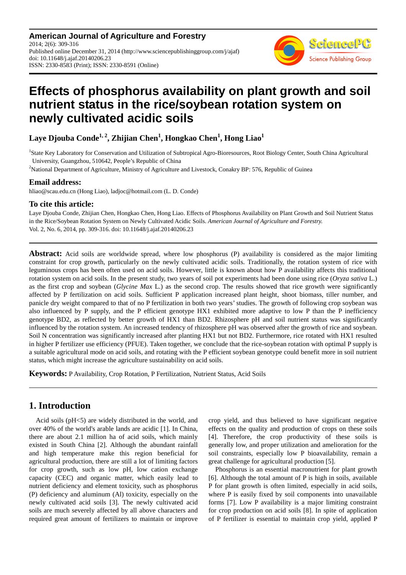**American Journal of Agriculture and Forestry** 2014; 2(6): 309-316 Published online December 31, 2014 (http://www.sciencepublishinggroup.com/j/ajaf) doi: 10.11648/j.ajaf.20140206.23 ISSN: 2330-8583 (Print); ISSN: 2330-8591 (Online)



# **Effects of phosphorus availability on plant growth and soil nutrient status in the rice/soybean rotation system on newly cultivated acidic soils**

**Laye Djouba Conde1, 2, Zhijian Chen<sup>1</sup> , Hongkao Chen<sup>1</sup> , Hong Liao<sup>1</sup>**

<sup>1</sup>State Key Laboratory for Conservation and Utilization of Subtropical Agro-Bioresources, Root Biology Center, South China Agricultural University, Guangzhou, 510642, People's Republic of China

<sup>2</sup>National Department of Agriculture, Ministry of Agriculture and Livestock, Conakry BP: 576, Republic of Guinea

### **Email address:**

hliao@scau.edu.cn (Hong Liao), ladjoc@hotmail.com (L. D. Conde)

### **To cite this article:**

Laye Djouba Conde, Zhijian Chen, Hongkao Chen, Hong Liao. Effects of Phosphorus Availability on Plant Growth and Soil Nutrient Status in the Rice/Soybean Rotation System on Newly Cultivated Acidic Soils. *American Journal of Agriculture and Forestry.* Vol. 2, No. 6, 2014, pp. 309-316. doi: 10.11648/j.ajaf.20140206.23

**Abstract:** Acid soils are worldwide spread, where low phosphorus (P) availability is considered as the major limiting constraint for crop growth, particularly on the newly cultivated acidic soils. Traditionally, the rotation system of rice with leguminous crops has been often used on acid soils. However, little is known about how P availability affects this traditional rotation system on acid soils. In the present study, two years of soil pot experiments had been done using rice (*Oryza sativa* L.) as the first crop and soybean (*Glycine Max* L.) as the second crop. The results showed that rice growth were significantly affected by P fertilization on acid soils. Sufficient P application increased plant height, shoot biomass, tiller number, and panicle dry weight compared to that of no P fertilization in both two years' studies. The growth of following crop soybean was also influenced by P supply, and the P efficient genotype HX1 exhibited more adaptive to low P than the P inefficiency genotype BD2, as reflected by better growth of HX1 than BD2. Rhizosphere pH and soil nutrient status was significantly influenced by the rotation system. An increased tendency of rhizosphere pH was observed after the growth of rice and soybean. Soil N concentration was significantly increased after planting HX1 but not BD2. Furthermore, rice rotated with HX1 resulted in higher P fertilizer use efficiency (PFUE). Taken together, we conclude that the rice-soybean rotation with optimal P supply is a suitable agricultural mode on acid soils, and rotating with the P efficient soybean genotype could benefit more in soil nutrient status, which might increase the agriculture sustainability on acid soils.

**Keywords:** P Availability, Crop Rotation, P Fertilization, Nutrient Status, Acid Soils

# **1. Introduction**

Acid soils (pH<5) are widely distributed in the world, and over 40% of the world's arable lands are acidic [1]. In China, there are about 2.1 million ha of acid soils, which mainly existed in South China [2]. Although the abundant rainfall and high temperature make this region beneficial for agricultural production, there are still a lot of limiting factors for crop growth, such as low pH, low cation exchange capacity (CEC) and organic matter, which easily lead to nutrient deficiency and element toxicity, such as phosphorus (P) deficiency and aluminum (Al) toxicity, especially on the newly cultivated acid soils [3]. The newly cultivated acid soils are much severely affected by all above characters and required great amount of fertilizers to maintain or improve crop yield, and thus believed to have significant negative effects on the quality and production of crops on these soils [4]. Therefore, the crop productivity of these soils is generally low, and proper utilization and amelioration for the soil constraints, especially low P bioavailability, remain a great challenge for agricultural production [5].

Phosphorus is an essential macronutrient for plant growth [6]. Although the total amount of P is high in soils, available P for plant growth is often limited, especially in acid soils, where P is easily fixed by soil components into unavailable forms [7]. Low P availability is a major limiting constraint for crop production on acid soils [8]. In spite of application of P fertilizer is essential to maintain crop yield, applied P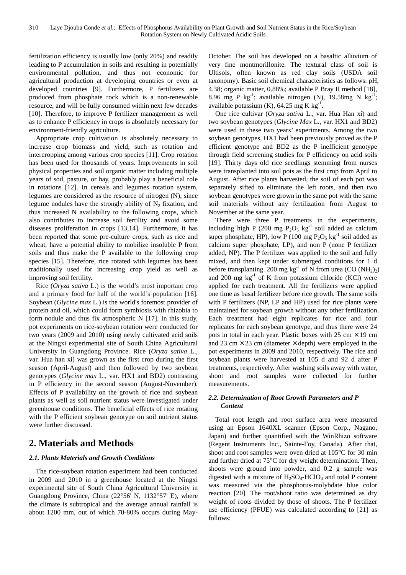fertilization efficiency is usually low (only 20%) and readily leading to P accumulation in soils and resulting in potentially environmental pollution, and thus not economic for agricultural production at developing countries or even at developed countries [9]. Furthermore, P fertilizers are produced from phosphate rock which is a non-renewable resource, and will be fully consumed within next few decades [10]. Therefore, to improve P fertilizer management as well as to enhance P efficiency in crops is absolutely necessary for environment-friendly agriculture.

Appropriate crop cultivation is absolutely necessary to increase crop biomass and yield, such as rotation and intercropping among various crop species [11]. Crop rotation has been used for thousands of years. Improvements in soil physical properties and soil organic matter including multiple years of sod, pasture, or hay, probably play a beneficial role in rotations [12]. In cereals and legumes rotation system, legumes are considered as the resource of nitrogen (N), since legume nodules have the strongly ability of  $N_2$  fixation, and thus increased N availability to the following crops, which also contributes to increase soil fertility and avoid some diseases proliferation in crops [13,14]. Furthermore, it has been reported that some pre-culture crops, such as rice and wheat, have a potential ability to mobilize insoluble P from soils and thus make the P available to the following crop species [15]. Therefore, rice rotated with legumes has been traditionally used for increasing crop yield as well as improving soil fertility.

Rice (*Oryza sativa* L.) is the world's most important crop and a primary food for half of the world's population [16]. Soybean (*Glycine max* L.) is the world's foremost provider of protein and oil, which could form symbiosis with rhizobia to form nodule and thus fix atmospheric N [17]. In this study, pot experiments on rice-soybean rotation were conducted for two years (2009 and 2010) using newly cultivated acid soils at the Ningxi experimental site of South China Agricultural University in Guangdong Province. Rice (*Oryza sativa* L., var. Hua han xi) was grown as the first crop during the first season (April-August) and then followed by two soybean genotypes (*Glycine max* L., var. HX1 and BD2) contrasting in P efficiency in the second season (August-November). Effects of P availability on the growth of rice and soybean plants as well as soil nutrient status were investigated under greenhouse conditions. The beneficial effects of rice rotating with the P efficient soybean genotype on soil nutrient status were further discussed.

# **2. Materials and Methods**

### *2.1. Plants Materials and Growth Conditions*

The rice-soybean rotation experiment had been conducted in 2009 and 2010 in a greenhouse located at the Ningxi experimental site of South China Agricultural University in Guangdong Province, China (22°56' N, 1132°57' E), where the climate is subtropical and the average annual rainfall is about 1200 mm, out of which 70-80% occurs during MayOctober. The soil has developed on a basaltic alluvium of very fine montmorillonite. The textural class of soil is Ultisols, often known as red clay soils (USDA soil taxonomy). Basic soil chemical characteristics as follows: pH, 4.38; organic matter, 0.88%; available P Bray II method [18], 8.96 mg P kg<sup>-1</sup>; available nitrogen (N), 19.58mg N kg<sup>-1</sup>; available potassium (K),  $64.25$  mg K kg<sup>-1</sup>.

One rice cultivar (*Oryza sativa* L., var. Hua Han xi) and two soybean genotypes (*Glycine Max* L., var. HX1 and BD2) were used in these two years' experiments. Among the two soybean genotypes, HX1 had been previously proved as the P efficient genotype and BD2 as the P inefficient genotype through field screening studies for P efficiency on acid soils [19]. Thirty days old rice seedlings stemming from nurses were transplanted into soil pots as the first crop from April to August. After rice plants harvested, the soil of each pot was separately sifted to eliminate the left roots, and then two soybean genotypes were grown in the same pot with the same soil materials without any fertilization from August to November at the same year.

There were three P treatments in the experiments, including high P (200 mg  $P_2O_5$  kg<sup>-1</sup> soil added as calcium super phosphate, HP), low P (100 mg  $P_2O_5$  kg<sup>-1</sup> soil added as calcium super phosphate, LP), and non P (none P fertilizer added, NP). The P fertilizer was applied to the soil and fully mixed, and then kept under submerged conditions for 1 d before transplanting. 200 mg  $kg^{-1}$  of N from urea (CO (NH<sub>2</sub>)<sub>2</sub>) and 200 mg  $kg^{-1}$  of K from potassium chloride (KCl) were applied for each treatment. All the fertilizers were applied one time as basal fertilizer before rice growth. The same soils with P fertilizers (NP, LP and HP) used for rice plants were maintained for soybean growth without any other fertilization. Each treatment had eight replicates for rice and four replicates for each soybean genotype, and thus there were 24 pots in total in each year. Plastic boxes with  $25 \text{ cm} \times 19 \text{ cm}$ and 23 cm  $\times$  23 cm (diameter  $\times$  depth) were employed in the pot experiments in 2009 and 2010, respectively. The rice and soybean plants were harvested at 105 d and 92 d after P treatments, respectively. After washing soils away with water, shoot and root samples were collected for further measurements.

### *2.2. Determination of Root Growth Parameters and P Content*

Total root length and root surface area were measured using an Epson 1640XL scanner (Epson Corp., Nagano, Japan) and further quantified with the WinRhizo software (Regent Instruments Inc., Sainte-Foy, Canada). After that, shoot and root samples were oven dried at 105°C for 30 min and further dried at 75°C for dry weight determination. Then, shoots were ground into powder, and 0.2 g sample was digested with a mixture of  $H_2SO_4$ -HClO<sub>4</sub> and total P content was measured via the phosphorus-molybdate blue color reaction [20]. The root/shoot ratio was determined as dry weight of roots divided by those of shoots. The P fertilizer use efficiency (PFUE) was calculated according to [21] as follows: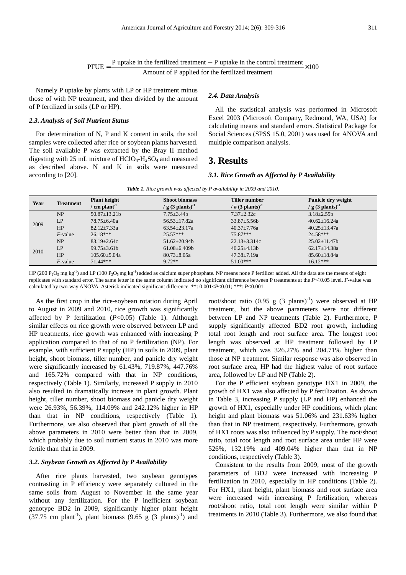$P FUE = \frac{P \text{ uptake in the fertilized treatment} - P \text{ uptake in the control treatment}}{\text{Amount of P applied for the fertilized treatment}} \times 100$  $=\frac{P \text{ uptake in the fertilized treatment}-P \text{ uptake in the control treatment}}{P \times P}$ 

Namely P uptake by plants with LP or HP treatment minus those of with NP treatment, and then divided by the amount of P fertilized in soils (LP or HP).

#### *2.3. Analysis of Soil Nutrient Status*

For determination of N, P and K content in soils, the soil samples were collected after rice or soybean plants harvested. The soil available P was extracted by the Bray II method digesting with 25 mL mixture of  $HClO<sub>4</sub>-H<sub>2</sub>SO<sub>4</sub>$  and measured as described above. N and K in soils were measured according to [20].

#### *2.4. Data Analysis*

All the statistical analysis was performed in Microsoft Excel 2003 (Microsoft Company, Redmond, WA, USA) for calculating means and standard errors. Statistical Package for Social Sciences (SPSS 15.0, 2001) was used for ANOVA and multiple comparison analysis.

### **3. Results**

#### *3.1. Rice Growth as Affected by P Availability*

|  |  | <b>Table 1.</b> Rice growth was affected by P availability in 2009 and 2010. |  |  |
|--|--|------------------------------------------------------------------------------|--|--|
|--|--|------------------------------------------------------------------------------|--|--|

| Year | <b>Treatment</b> | <b>Plant height</b><br>$^{\prime}$ cm plant <sup>-1</sup> | <b>Shoot biomass</b><br>/ g $(3 \text{ plants})^{-1}$ | <b>Tiller number</b><br>/ # $(3 \text{ plants})^{-1}$ | Panicle dry weight<br>/ g $(3 \text{ plants})^{-1}$ |
|------|------------------|-----------------------------------------------------------|-------------------------------------------------------|-------------------------------------------------------|-----------------------------------------------------|
| 2009 | NP               | $50.87 \pm 13.21$                                         | $7.75 \pm 3.44b$                                      | $7.37 \pm 2.32c$                                      | $3.18 \pm 2.55b$                                    |
|      | LP               | $78.75 \pm 6.40a$                                         | $56.53 \pm 17.82a$                                    | $33.87 \pm 5.56b$                                     | $40.62 \pm 16.24a$                                  |
|      | HP               | $82.12 \pm 7.33a$                                         | $63.54 \pm 23.17$ a                                   | $40.37 + 7.76a$                                       | $40.25 \pm 13.47$ a                                 |
|      | $F$ -value       | $26.18***$                                                | $25.57***$                                            | $75.87***$                                            | $24.58***$                                          |
| 2010 | <b>NP</b>        | $83.19 \pm 2.64c$                                         | $51.62 \pm 20.94b$                                    | $22.13 \pm 3.314c$                                    | $25.02 \pm 11.47$                                   |
|      | LP               | $99.75 \pm 3.61b$                                         | $61.08 \pm 6.409 b$                                   | $40.25 \pm 4.13b$                                     | $62.17 \pm 14.38a$                                  |
|      | HP               | $105.60 \pm 5.04a$                                        | $80.73 \pm 8.05a$                                     | $47.38 \pm 7.19a$                                     | $85.60 \pm 18.84a$                                  |
|      | $F$ -value       | $71.44***$                                                | $9.72**$                                              | $51.00***$                                            | $16.12***$                                          |

HP (200 P<sub>2</sub>O<sub>5</sub> mg kg<sup>-1</sup>) and LP (100 P<sub>2</sub>O<sub>5</sub> mg kg<sup>-1</sup>) added as calcium super phosphate. NP means none P fertilizer added. All the data are the means of eight replicates with standard error. The same letter in the same column indicated no significant difference between P treatments at the *P*<0.05 level. *F*-value was calculated by two-way ANOVA. Asterisk indicated significant difference. \*\*: 0.001<*P*<0.01; \*\*\*: *P*<0.001.

As the first crop in the rice-soybean rotation during April to August in 2009 and 2010, rice growth was significantly affected by P fertilization (*P*<0.05) (Table 1). Although similar effects on rice growth were observed between LP and HP treatments, rice growth was enhanced with increasing P application compared to that of no P fertilization (NP). For example, with sufficient P supply (HP) in soils in 2009, plant height, shoot biomass, tiller number, and panicle dry weight were significantly increased by 61.43%, 719.87%, 447.76% and 165.72% compared with that in NP conditions, respectively (Table 1). Similarly, increased P supply in 2010 also resulted in dramatically increase in plant growth. Plant height, tiller number, shoot biomass and panicle dry weight were 26.93%, 56.39%, 114.09% and 242.12% higher in HP than that in NP conditions, respectively (Table 1). Furthermore, we also observed that plant growth of all the above parameters in 2010 were better than that in 2009, which probably due to soil nutrient status in 2010 was more fertile than that in 2009.

#### *3.2. Soybean Growth as Affected by P Availability*

After rice plants harvested, two soybean genotypes contrasting in P efficiency were separately cultured in the same soils from August to November in the same year without any fertilization. For the P inefficient soybean genotype BD2 in 2009, significantly higher plant height  $(37.75 \text{ cm plant}^{-1})$ , plant biomass  $(9.65 \text{ g } (3 \text{ plants})^{-1})$  and root/shoot ratio  $(0.95 \text{ g } (3 \text{ plants})^{-1})$  were observed at HP treatment, but the above parameters were not different between LP and NP treatments (Table 2). Furthermore, P supply significantly affected BD2 root growth, including total root length and root surface area. The longest root length was observed at HP treatment followed by LP treatment, which was 326.27% and 204.71% higher than those at NP treatment. Similar response was also observed in root surface area, HP had the highest value of root surface area, followed by LP and NP (Table 2).

For the P efficient soybean genotype HX1 in 2009, the growth of HX1 was also affected by P fertilization. As shown in Table 3, increasing P supply (LP and HP) enhanced the growth of HX1, especially under HP conditions, which plant height and plant biomass was 51.06% and 231.63% higher than that in NP treatment, respectively. Furthermore, growth of HX1 roots was also influenced by P supply. The root/shoot ratio, total root length and root surface area under HP were 526%, 132.19% and 409.04% higher than that in NP conditions, respectively (Table 3).

Consistent to the results from 2009, most of the growth parameters of BD2 were increased with increasing P fertilization in 2010, especially in HP conditions (Table 2). For HX1, plant height, plant biomass and root surface area were increased with increasing P fertilization, whereas root/shoot ratio, total root length were similar within P treatments in 2010 (Table 3). Furthermore, we also found that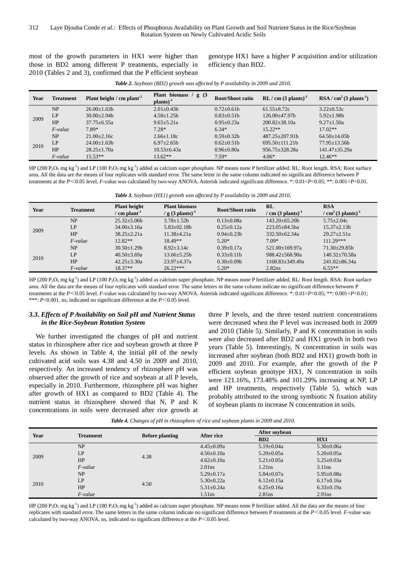most of the growth parameters in HX1 were higher than those in BD2 among different P treatments, especially in 2010 (Tables 2 and 3), confirmed that the P efficient soybean genotype HX1 have a higher P acquisition and/or utilization efficiency than BD2.

| Year | <b>Treatment</b> | Plant height / $cm$ plant <sup>-1</sup> | Plant biomass $/$ g $(3)$<br>plants) <sup>-1</sup> | Root/Shoot ratio | $RL / cm$ (3 plants) <sup>-1</sup> | $RSA / cm2 (3 plants-1)$ |
|------|------------------|-----------------------------------------|----------------------------------------------------|------------------|------------------------------------|--------------------------|
| 2009 | NP               | $26.00+1.63b$                           | $2.01 + 0.43$                                      | $0.72+0.61b$     | $61.55 + 8.72c$                    | $3.22 + 0.53c$           |
|      | LP               | $30.00 + 2.94$ h                        | $4.58 + 1.25h$                                     | $0.83 + 0.51$    | $126.00 + 47.97h$                  | $5.92 \pm 1.98b$         |
|      | HP               | $37.75 + 6.55a$                         | $9.65 + 5.21a$                                     | $0.95 + 0.23a$   | $200.82 + 38.10a$                  | $9.27 + 1.50a$           |
|      | $F$ -value       | 7.89*                                   | $7.28*$                                            | $6.34*$          | $15.22**$                          | $17.02**$                |
| 2010 | NP               | $21.00+2.16c$                           | $2.66 + 1.18c$                                     | $0.59+0.32b$     | $487.25 + 207.91h$                 | $64.50 + 14.05h$         |
|      | LP               | $24.00+1.63b$                           | $6.97 + 2.65h$                                     | $0.62 + 0.51$    | $695.50 + 111.21b$                 | $77.95 + 13.56h$         |
|      | HP               | $28.25 \pm 1.70a$                       | $10.53 \pm 6.43a$                                  | $0.96 \pm 0.80a$ | $956.75 + 328.28a$                 | $141.47 + 35.29a$        |
|      | $F$ -value       | $15.53**$                               | $13.62**$                                          | $7.59*$          | $4.06*$                            | $12.46**$                |

*Table 2. Soybean (BD2) growth was affected by P availability in 2009 and 2010.* 

HP (200 P<sub>2</sub>O<sub>5</sub> mg kg<sup>-1</sup>) and LP (100 P<sub>2</sub>O<sub>5</sub> mg kg<sup>-1</sup>) added as calcium super phosphate. NP means none P fertilizer added. RL: Root length. RSA: Root surface area. All the data are the means of four replicates with standard error. The same letter in the same column indicated no significant difference between P treatments at the *P*<0.05 level. *F*-value was calculated by two-way ANOVA. Asterisk indicated significant difference. \*: 0.01<*P*<0.05; \*\*: 0.001<*P*<0.01.

*Table 3. Soybean (HX1) growth was affected by P availability in 2009 and 2010.* 

| Year | <b>Treatment</b> | <b>Plant height</b><br>$\prime$ cm plant <sup>-1</sup> | <b>Plant biomass</b><br>/ g $(3 \text{ plants})^{-1}$ | Root/Shoot ratio  | RL<br>/ cm $(3 \text{ plants})^{-1}$ | <b>RSA</b><br>/ $cm2(3$ plants) <sup>-1</sup> |
|------|------------------|--------------------------------------------------------|-------------------------------------------------------|-------------------|--------------------------------------|-----------------------------------------------|
|      | NP               | $25.32 + 5.06h$                                        | $3.78 + 1.52h$                                        | $0.13 + 0.08a$    | $143.20 + 65.20h$                    | $5.75 + 2.04c$                                |
| 2009 | LP               | $34.00 \pm 3.16a$                                      | $5.83 \pm 02.18b$                                     | $0.25 \pm 0.12a$  | $223.05 + 84.5$ ba                   | $15.37 + 2.13h$                               |
|      | HP               | $38.25 + 2.21a$                                        | $11.38 + 4.21a$                                       | $0.94 + 0.23h$    | $332.50 + 62.34a$                    | $29.27 + 2.51a$                               |
|      | $F$ -value       | $12.82**$                                              | 18.49**                                               | $5.20*$           | $7.09*$                              | $111.29***$                                   |
|      | <b>NP</b>        | $30.50 + 1.29$ h                                       | $8.92 + 3.14c$                                        | $0.39+0.17a$      | $521.00+169.97a$                     | $71.30 + 29.85h$                              |
| 2010 | LP               | $40.50 \pm 3.69a$                                      | $13.66 \pm 5.25b$                                     | $0.33 \pm 0.11 b$ | $988.42 + 568.90a$                   | $140.32 + 70.58a$                             |
|      | HP               | $42.25 \pm 3.30a$                                      | $23.97 + 4.37a$                                       | $0.30\pm0.09b$    | $1168.83 + 349.49a$                  | $241.02 \pm 86.34a$                           |
|      | F-value          | $18.37**$                                              | $26.22***$                                            | $5.20*$           | 2.82 <sub>ns</sub>                   | $6.55**$                                      |

HP (200  $P_2O_5$  mg kg<sup>-1</sup>) and LP (100  $P_2O_5$  mg kg<sup>-1</sup>) added as calcium super phosphate. NP means none P fertilizer added. RL: Root length. RSA: Root surface area. All the data are the means of four replicates with standard error. The same letters in the same column indicate no significant difference between P treatments at the *P*<0.05 level. *F*-value was calculated by two-way ANOVA. Asterisk indicated significant difference. \*: 0.01<*P*<0.05; \*\*: 0.001<*P*<0.01; \*\*\*: *P*<0.001. ns, indicated no significant difference at the *P*<0.05 level.

#### *3.3. Effects of P Availability on Soil pH and Nutrient Status in the Rice-Soybean Rotation System*

We further investigated the changes of pH and nutrient status in rhizosphere after rice and soybean growth at three P levels. As shown in Table 4, the initial pH of the newly cultivated acid soils was 4.38 and 4.50 in 2009 and 2010, respectively. An increased tendency of rhizosphere pH was observed after the growth of rice and soybean at all P levels, especially in 2010. Furthermore, rhizosphere pH was higher after growth of HX1 as compared to BD2 (Table 4). The nutrient status in rhizosphere showed that N, P and K concentrations in soils were decreased after rice growth at three P levels, and the three tested nutrient concentrations were decreased when the P level was increased both in 2009 and 2010 (Table 5). Similarly, P and K concentration in soils were also decreased after BD2 and HX1 growth in both two years (Table 5). Interestingly, N concentration in soils was increased after soybean (both BD2 and HX1) growth both in 2009 and 2010. For example, after the growth of the P efficient soybean genotype HX1, N concentration in soils were 121.16%, 173.48% and 101.29% increasing at NP, LP and HP treatments, respectively (Table 5), which was probably attributed to the strong symbiotic N fixation ability of soybean plants to increase N concentration in soils.

*Table 4. Changes of pH in rhizosphere of rice and soybean plants in 2009 and 2010.* 

| Year |                  |                        | After rice         | After soybean    |                  |  |
|------|------------------|------------------------|--------------------|------------------|------------------|--|
|      | <b>Treatment</b> | <b>Before planting</b> |                    | BD2              | HX1              |  |
|      | NP               |                        | $4.45 \pm 0.09a$   | $5.19 \pm 0.04a$ | $5.30 \pm 0.06a$ |  |
|      | LP               |                        | $4.56 \pm 0.10a$   | $5.20 \pm 0.05a$ | $5.20 \pm 0.05a$ |  |
| 2009 | HP               | 4.38                   | $4.62 \pm 0.10a$   | $5.21 \pm 0.05a$ | $5.25 \pm 0.03a$ |  |
|      | $F$ -value       |                        | 2.01 <sub>ns</sub> | 1.21ns           | $3.11$ ns        |  |
|      | NP               |                        | $5.29 \pm 0.17a$   | $5.84 \pm 0.07a$ | $5.95 \pm 0.08a$ |  |
| 2010 | LP               |                        | $5.30 \pm 0.22a$   | $6.12 \pm 0.15a$ | $6.17 \pm 0.16a$ |  |
|      | HP               | 4.50                   | $5.31 \pm 0.24a$   | $6.25 \pm 0.16a$ | $6.33 \pm 0.19a$ |  |
|      | F-value          |                        | 1.51ns             | $2.81$ ns        | $2.91$ ns        |  |

HP (200 P<sub>2</sub>O<sub>5</sub> mg kg<sup>-1</sup>) and LP (100 P<sub>2</sub>O<sub>5</sub> mg kg<sup>-1</sup>) added as calcium super phosphate. NP means none P fertilizer added. All the data are the means of four replicates with standard error. The same letters in the same column indicate no significant difference between P treatments at the *P*<0.05 level. *F*-value was calculated by two-way ANOVA. ns, indicated no significant difference at the *P*<0.05 level.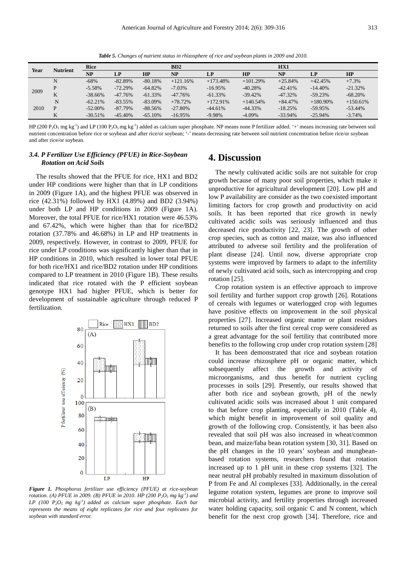*Table 5. Changes of nutrient status in rhizosphere of rice and soybean plants in 2009 and 2010.* 

|      |                 | Rice       |            |            | BD2        |            |            | HX1        |              |            |
|------|-----------------|------------|------------|------------|------------|------------|------------|------------|--------------|------------|
| Year | <b>Nutrient</b> | NP         | LP         | HP         | NP         | LP         | HP         | <b>NP</b>  | $\mathbf{L}$ | HP         |
|      | N               | $-68%$     | $-82.89\%$ | $-80.18%$  | $+121.16%$ | $+173.48%$ | $+101.29%$ | $+25.84%$  | $+42.45%$    | $+7.3%$    |
| 2009 | D               | $-5.58\%$  | $-72.29%$  | $-64.82%$  | $-7.03\%$  | $-16.95%$  | $-40.28%$  | $-42.41%$  | $-14.40%$    | $-21.32%$  |
|      | T.T<br>V        | $-38.66\%$ | $-47.76%$  | $-61.33%$  | $-47.76%$  | $-61.33\%$ | $-39.42%$  | $-47.32\%$ | $-59.23%$    | $-68.20%$  |
|      | N               | $-62.21%$  | $-83.55\%$ | $-83.09\%$ | $+78.72%$  | $+172.91%$ | $+140.54%$ | $+84.47%$  | $+180.90\%$  | $+150.61%$ |
| 2010 | D               | $-52.00\%$ | $-87.79\%$ | $-88.56%$  | $-27.80%$  | $-44.61%$  | $-44.33\%$ | $-18.25%$  | $-59.95%$    | $-53.44%$  |
|      |                 | $-30.51%$  | $-45.40\%$ | $-65.10%$  | $-16.95%$  | $-9.98%$   | $-4.09\%$  | $-33.94\%$ | $-25.94%$    | $-3.74%$   |

HP (200  $P_2O_5$  mg kg<sup>-1</sup>) and LP (100  $P_2O_5$  mg kg<sup>-1</sup>) added as calcium super phosphate. NP means none P fertilizer added. '+' means increasing rate between soil nutrient concentration before rice or soybean and after rice/or soybean; '-' means decreasing rate between soil nutrient concentration before rice/or soybean and after rice/or soybean.

### *3.4. P Fertilizer Use Efficiency (PFUE) in Rice-Soybean Rotation on Acid Soils*

The results showed that the PFUE for rice, HX1 and BD2 under HP conditions were higher than that in LP conditions in 2009 (Figure 1A), and the highest PFUE was observed in rice (42.31%) followed by HX1 (4.89%) and BD2 (3.94%) under both LP and HP conditions in 2009 (Figure 1A). Moreover, the total PFUE for rice/HX1 rotation were 46.53% and 67.42%, which were higher than that for rice/BD2 rotation (37.78% and 46.68%) in LP and HP treatments in 2009, respectively. However, in contrast to 2009, PFUE for rice under LP conditions was significantly higher than that in HP conditions in 2010, which resulted in lower total PFUE for both rice/HX1 and rice/BD2 rotation under HP conditions compared to LP treatment in 2010 (Figure 1B). These results indicated that rice rotated with the P efficient soybean genotype HX1 had higher PFUE, which is better for development of sustainable agriculture through reduced P fertilization.



*Figure 1. Phosphorus fertilizer use efficiency (PFUE) at rice-soybean rotation. (A) PFUE in 2009. (B) PFUE in 2010. HP (200 P2O5 mg kg-1) and LP (100 P2O5 mg kg-1) added as calcium super phosphate. Each bar represents the means of eight replicates for rice and four replicates for soybean with standard error.* 

### **4. Discussion**

The newly cultivated acidic soils are not suitable for crop growth because of many poor soil properties, which make it unproductive for agricultural development [20]. Low pH and low P availability are consider as the two coexisted important limiting factors for crop growth and productivity on acid soils. It has been reported that rice growth in newly cultivated acidic soils was seriously influenced and thus decreased rice productivity [22, 23]. The growth of other crop species, such as cotton and maize, was also influenced attributed to adverse soil fertility and the proliferation of plant disease [24]. Until now, diverse appropriate crop systems were improved by farmers to adapt to the infertility of newly cultivated acid soils, such as intercropping and crop rotation [25].

Crop rotation system is an effective approach to improve soil fertility and further support crop growth [26]. Rotations of cereals with legumes or waterlogged crop with legumes have positive effects on improvement in the soil physical properties [27]. Increased organic matter or plant residues returned to soils after the first cereal crop were considered as a great advantage for the soil fertility that contributed more benefits to the following crop under crop rotation system [28]

It has been demonstrated that rice and soybean rotation could increase rhizosphere pH or organic matter, which subsequently affect the growth and activity of microorganisms, and thus benefit for nutrient cycling processes in soils [29]. Presently, our results showed that after both rice and soybean growth, pH of the newly cultivated acidic soils was increased about 1 unit compared to that before crop planting, especially in 2010 (Table 4), which might benefit in improvement of soil quality and growth of the following crop. Consistently, it has been also revealed that soil pH was also increased in wheat/common bean, and maize/faba bean rotation system [30, 31]. Based on the pH changes in the 10 years' soybean and mungbeanbased rotation systems, researchers found that rotation increased up to 1 pH unit in these crop systems [32]. The near neutral pH probably resulted in maximum dissolution of P from Fe and Al complexes [33]. Additionally, in the cereal legume rotation system, legumes are prone to improve soil microbial activity, and fertility properties through increased water holding capacity, soil organic C and N content, which benefit for the next crop growth [34]. Therefore, rice and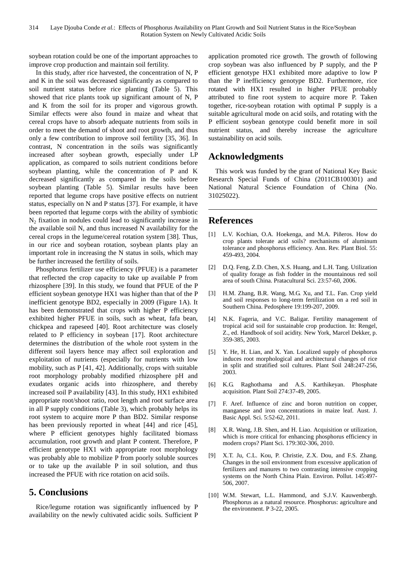soybean rotation could be one of the important approaches to improve crop production and maintain soil fertility.

In this study, after rice harvested, the concentration of N, P and K in the soil was decreased significantly as compared to soil nutrient status before rice planting (Table 5). This showed that rice plants took up significant amount of N, P and K from the soil for its proper and vigorous growth. Similar effects were also found in maize and wheat that cereal crops have to absorb adequate nutrients from soils in order to meet the demand of shoot and root growth, and thus only a few contribution to improve soil fertility [35, 36]. In contrast, N concentration in the soils was significantly increased after soybean growth, especially under LP application, as compared to soils nutrient conditions before soybean planting, while the concentration of P and K decreased significantly as compared in the soils before soybean planting (Table 5). Similar results have been reported that legume crops have positive effects on nutrient status, especially on N and P status [37]. For example, it have been reported that legume corps with the ability of symbiotic  $N_2$  fixation in nodules could lead to significantly increase in the available soil N, and thus increased N availability for the cereal crops in the legume/cereal rotation system [38]. Thus, in our rice and soybean rotation, soybean plants play an important role in increasing the N status in soils, which may be further increased the fertility of soils.

Phosphorus fertilizer use efficiency (PFUE) is a parameter that reflected the crop capacity to take up available P from rhizosphere [39]. In this study, we found that PFUE of the P efficient soybean genotype HX1 was higher than that of the P inefficient genotype BD2, especially in 2009 (Figure 1A). It has been demonstrated that crops with higher P efficiency exhibited higher PFUE in soils, such as wheat, fafa bean, chickpea and rapeseed [40]. Root architecture was closely related to P efficiency in soybean [17]. Root architecture determines the distribution of the whole root system in the different soil layers hence may affect soil exploration and exploitation of nutrients (especially for nutrients with low mobility, such as P [41, 42]. Additionally, crops with suitable root morphology probably modified rhizosphere pH and exudates organic acids into rhizosphere, and thereby increased soil P availability [43]. In this study, HX1 exhibited appropriate root/shoot ratio, root length and root surface area in all P supply conditions (Table 3), which probably helps its root system to acquire more P than BD2. Similar response has been previously reported in wheat [44] and rice [45], where P efficient genotypes highly facilitated biomass accumulation, root growth and plant P content. Therefore, P efficient genotype HX1 with appropriate root morphology was probably able to mobilize P from poorly soluble sources or to take up the available P in soil solution, and thus increased the PFUE with rice rotation on acid soils.

# **5. Conclusions**

Rice/legume rotation was significantly influenced by P availability on the newly cultivated acidic soils. Sufficient P application promoted rice growth. The growth of following crop soybean was also influenced by P supply, and the P efficient genotype HX1 exhibited more adaptive to low P than the P inefficiency genotype BD2. Furthermore, rice rotated with HX1 resulted in higher PFUE probably attributed to fine root system to acquire more P. Taken together, rice-soybean rotation with optimal P supply is a suitable agricultural mode on acid soils, and rotating with the P efficient soybean genotype could benefit more in soil nutrient status, and thereby increase the agriculture sustainability on acid soils.

# **Acknowledgments**

This work was funded by the grant of National Key Basic Research Special Funds of China (2011CB100301) and National Natural Science Foundation of China (No. 31025022).

# **References**

- [1] L.V. Kochian, O.A. Hoekenga, and M.A. Piñeros. How do crop plants tolerate acid soils? mechanisms of aluminum tolerance and phosphorus efficiency. Ann. Rev. Plant Biol. 55: 459-493, 2004.
- [2] D.Q. Feng, Z.D. Chen, X.S. Huang, and L.H. Tang. Utilization of quality forage as fish fodder in the mountainous red soil area of south China. Pratacultural Sci. 23:57-60, 2006.
- [3] H.M. Zhang, B.R. Wang, M.G. Xu, and T.L. Fan. Crop yield and soil responses to long-term fertilization on a red soil in Southern China. Pedosphere 19:199-207, 2009.
- [4] N.K. Fageria, and V.C. Baligar. Fertility management of tropical acid soil for sustainable crop production. In: Rengel, Z., ed. Handbook of soil acidity. New York, Marcel Dekker, p. 359-385, 2003.
- [5] Y. He, H. Lian, and X. Yan. Localized supply of phosphorus induces root morphological and architectural changes of rice in split and stratified soil cultures. Plant Soil 248:247-256, 2003.
- [6] K.G. Raghothama and A.S. Karthikeyan. Phosphate acquisition. Plant Soil 274:37-49, 2005.
- [7] F. Aref. Influence of zinc and boron nutrition on copper, manganese and iron concentrations in maize leaf. Aust. J. Basic Appl. Sci. 5:52-62, 2011.
- [8] X.R. Wang, J.B. Shen, and H. Liao. Acquisition or utilization, which is more critical for enhancing phosphorus efficiency in modern crops? Plant Sci. 179:302-306, 2010.
- [9] X.T. Ju, C.L. Kou, P. Christie, Z.X. Dou, and F.S. Zhang. Changes in the soil environment from excessive application of fertilizers and manures to two contrasting intensive cropping systems on the North China Plain. Environ. Pollut. 145:497- 506, 2007.
- [10] W.M. Stewart, L.L. Hammond, and S.J.V. Kauwenbergh. Phosphorus as a natural resource. Phosphorus: agriculture and the environment. P 3-22, 2005.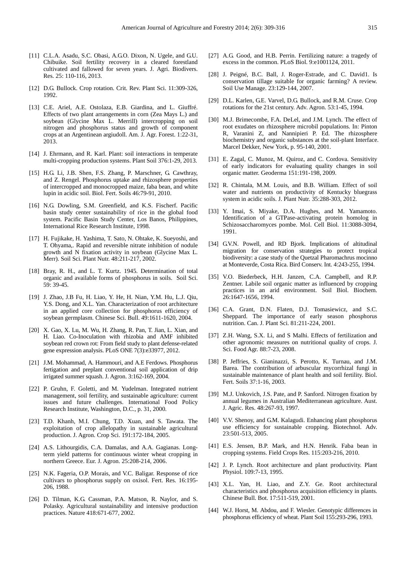- [11] C.L.A. Asadu, S.C. Obasi, A.G.O. Dixon, N. Ugele, and G.U. Chibuike. Soil fertility recovery in a cleared forestland cultivated and fallowed for seven years. J. Agri. Biodivers. Res. 25: 110-116, 2013.
- [12] D.G. Bullock. Crop rotation. Crit. Rev. Plant Sci. 11:309-326, 1992.
- [13] C.E. Ariel, A.E. Ostolaza, E.B. Giardina, and L. Giuffré. Effects of two plant arrangements in corn (Zea Mays L.) and soybean (Glycine Max L. Merrill) intercropping on soil nitrogen and phosphorus status and growth of component crops at an Argentinean argiudoll. Am. J. Agr. Forest. 1:22-31, 2013.
- [14] J. Ehrmann, and R. Karl. Plant: soil interactions in temperate multi-cropping production systems. Plant Soil 376:1-29, 2013.
- [15] H.G. Li, J.B. Shen, F.S. Zhang, P. Marschner, G. Cawthray, and Z. Rengel. Phosphorus uptake and rhizosphere properties of intercropped and monocropped maize, faba bean, and white lupin in acidic soil. Biol. Fert. Soils 46:79-91, 2010.
- [16] N.G. Dowling, S.M. Greenfield, and K.S. Fischerf. Pacific basin study center sustainability of rice in the global food system. Pacific Basin Study Center, Los Banos, Philippines, International Rice Research Institute, 1998.
- [17] H. Fujikake, H. Yashima, T. Sato, N. Ohtake, K. Sueyoshi, and T. Ohyama,. Rapid and reversible nitrate inhibition of nodule growth and N fixation activity in soybean (Glycine Max L. Merr). Soil Sci. Plant Nutr. 48:211-217, 2002.
- [18] Bray, R. H., and L. T. Kurtz. 1945. Determination of total organic and available forms of phosphorus in soils. Soil Sci. 59: 39-45.
- [19] J. Zhao, J.B Fu, H. Liao, Y. He, H. Nian, Y.M. Hu, L.J. Qiu, Y.S. Dong, and X.L. Yan. Characterization of root architecture in an applied core collection for phosphorus efficiency of soybean germplasm. Chinese Sci. Bull. 49:1611-1620, 2004.
- [20] X. Gao, X. Lu, M. Wu, H. Zhang, R. Pan, T. Jian, L. Xian, and H. Liao. Co-Inoculation with rhizobia and AMF inhibited soybean red crown rot: From field study to plant defense-related gene expression analysis. PLoS ONE 7(3):e33977, 2012.
- [21] J.M. Mohammad, A. Hammouri, and A.E Ferdows. Phosphorus fertigation and preplant conventional soil application of drip irrigated summer squash. J. Agron. 3:162-169, 2004.
- [22] P. Gruhn, F. Goletti, and M. Yudelman. Integrated nutrient management, soil fertility, and sustainable agriculture: current issues and future challenges. International Food Policy Research Institute, Washington, D.C., p. 31, 2000.
- [23] T.D. Khanh, M.I. Chung, T.D. Xuan, and S. Tawata. The exploitation of crop allelopathy in sustainable agricultural production. J. Agron. Crop Sci. 191:172-184, 2005.
- [24] A.S. Lithourgidis, C.A. Damalas, and A.A. Gagianas. Longterm yield patterns for continuous winter wheat cropping in northern Greece. Eur. J. Agron. 25:208-214, 2006.
- [25] N.K. Fageria, O.P. Morais, and V.C. Baligar. Response of rice cultivars to phosphorus supply on oxisol. Fert. Res. 16:195- 206, 1988.
- [26] D. Tilman, K.G. Cassman, P.A. Matson, R. Naylor, and S. Polasky. Agricultural sustainability and intensive production practices. Nature 418:671-677, 2002.
- [27] A.G. Good, and H.B. Perrin. Fertilizing nature: a tragedy of excess in the common. PLoS Biol. 9:e1001124, 2011.
- [28] J. Peigné, B.C. Ball, J. Roger-Estrade, and C. David1. Is conservation tillage suitable for organic farming? A review. Soil Use Manage. 23:129-144, 2007.
- [29] D.L. Karlen, G.E. Varvel, D.G. Bullock, and R.M. Cruse. Crop rotations for the 21st century. Adv. Agron. 53:1-45, 1994.
- [30] M.J. Brimecombe, F.A. DeLel, and J.M. Lynch. The effect of root exudates on rhizosphere microbil populations. In: Pinton R, Varanini Z, and Nannipieri P. Ed. The rhizosphere biochemistry and organic substances at the soil-plant Interface. Marcel Dekker, New York, p. 95-140, 2001.
- [31] E. Zagal, C. Munoz, M. Quiroz, and C. Cordova. Sensitivity of early indicators for evaluating quality changes in soil organic matter. Geoderma 151:191-198, 2009.
- [32] R. Chintala, M.M. Louis, and B.B. William. Effect of soil water and nutrients on productivity of Kentucky bluegrass system in acidic soils. J. Plant Nutr. 35:288-303, 2012.
- [33] Y. Imai, S. Miyake, D.A. Hughes, and M. Yamamoto. Identification of a GTPase-activating protein homolog in Schizosaccharomyces pombe. Mol. Cell Biol. 11:3088-3094, 1991.
- [34] G.V.N. Powell, and RD Biork. Implications of altitudinal migration for conservation strategies to protect tropical biodiversity: a case study of the Quetzal Pharomachrus mocinno at Monteverde, Costa Rica. Bird Conserv. Int. 4:243-255, 1994.
- [35] V.O. Biederbeck, H.H. Janzen, C.A. Campbell, and R.P. Zentner. Labile soil organic matter as influenced by cropping practices in an arid environment. Soil Biol. Biochem. 26:1647-1656, 1994.
- [36] C.A. Grant, D.N. Flaten, D.J. Tomasiewicz, and S.C. Sheppard. The importance of early season phosphorus nutrition. Can. J. Plant Sci. 81:211-224, 2001.
- [37] Z.H. Wang, S.X. Li, and S Malhi. Effects of fertilization and other agronomic measures on nutritional quality of crops. J. Sci. Food Agr. 88:7-23, 2008.
- [38] P. Jeffries, S. Gianinazzi, S. Perotto, K. Turnau, and J.M. Barea. The contribution of arbuscular mycorrhizal fungi in sustainable maintenance of plant health and soil fertility. Biol. Fert. Soils 37:1-16, 2003.
- [39] M.J. Unkovich, J.S. Pate, and P. Sanford. Nitrogen fixation by annual legumes in Australian Mediterranean agriculture. Aust. J. Agric. Res. 48:267-93, 1997.
- [40] V.V. Shenoy, and G.M. Kalagudi. Enhancing plant phosphorus use efficiency for sustainable cropping. Biotechnol. Adv. 23:501-513, 2005.
- [41] E.S. Jensen, B.P. Mark, and H.N. Henrik. Faba bean in cropping systems. Field Crops Res. 115:203-216, 2010.
- [42] J. P. Lynch. Root architecture and plant productivity. Plant Physiol. 109:7-13, 1995.
- [43] X.L. Yan, H. Liao, and Z.Y. Ge. Root architectural characteristics and phosphorus acquisition efficiency in plants. Chinese Bull. Bot. 17:511-519, 2001.
- [44] W.J. Horst, M. Abdou, and F. Wiesler. Genotypic differences in phosphorus efficiency of wheat. Plant Soil 155:293-296, 1993.